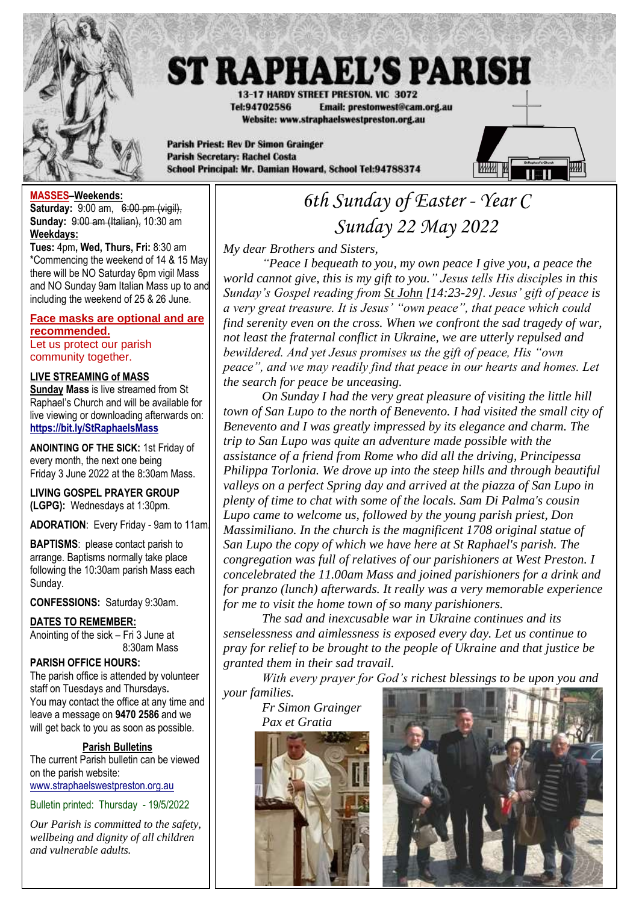

# **ST RAPHAEL'S PARISH**

13-17 HARDY STREET PRESTON, VIC 3072 Tel:94702586 Email: prestonwest@cam.org.au Website: www.straphaelswestpreston.org.au

**Parish Priest: Rev Dr Simon Grainger Parish Secretary: Rachel Costa** School Principal: Mr. Damian Howard, School Tel:94788374



#### **MASSES–Weekends:**

**Saturday:** 9:00 am, 6:00 pm (vigil), **Sunday:** 9:00 am (Italian), 10:30 am **Weekdays:** 

**Tues:** 4pm**, Wed, Thurs, Fri:** 8:30 am \*Commencing the weekend of 14 & 15 May there will be NO Saturday 6pm vigil Mass and NO Sunday 9am Italian Mass up to and including the weekend of 25 & 26 June.

#### **Face masks are optional and are recommended.**

Let us protect our parish community together.

#### **LIVE STREAMING of MASS**

**Sunday Mass** is live streamed from St Raphael's Church and will be available for live viewing or downloading afterwards on: **<https://bit.ly/StRaphaelsMass>**

**ANOINTING OF THE SICK:** 1st Friday of every month, the next one being Friday 3 June 2022 at the 8:30am Mass.

**LIVING GOSPEL PRAYER GROUP (LGPG):** Wednesdays at 1:30pm.

**ADORATION**: Every Friday - 9am to 11am.

**BAPTISMS**: please contact parish to arrange. Baptisms normally take place following the 10:30am parish Mass each Sunday.

**CONFESSIONS:** Saturday 9:30am.

#### **DATES TO REMEMBER:**

Anointing of the sick – Fri 3 June at 8:30am Mass

#### **PARISH OFFICE HOURS:**

The parish office is attended by volunteer staff on Tuesdays and Thursdays**.** You may contact the office at any time and leave a message on **9470 2586** and we will get back to you as soon as possible.

#### **Parish Bulletins**

The current Parish bulletin can be viewed on the parish website: [www.straphaelswestpreston.org.au](file:///D:/Google%20Drive/ST%20RAPHAEL)

Bulletin printed: Thursday - 19/5/2022

*Our Parish is committed to the safety, wellbeing and dignity of all children and vulnerable adults.*

## *6th Sunday of Easter - Year C Sunday 22 May 2022*

*My dear Brothers and Sisters,*

*"Peace I bequeath to you, my own peace I give you, a peace the world cannot give, this is my gift to you." Jesus tells His disciples in this Sunday's Gospel reading from St John [14:23-29]. Jesus' gift of peace is a very great treasure. It is Jesus' "own peace", that peace which could find serenity even on the cross. When we confront the sad tragedy of war, not least the fraternal conflict in Ukraine, we are utterly repulsed and bewildered. And yet Jesus promises us the gift of peace, His "own peace", and we may readily find that peace in our hearts and homes. Let the search for peace be unceasing.*

*On Sunday I had the very great pleasure of visiting the little hill town of San Lupo to the north of Benevento. I had visited the small city of Benevento and I was greatly impressed by its elegance and charm. The trip to San Lupo was quite an adventure made possible with the assistance of a friend from Rome who did all the driving, Principessa Philippa Torlonia. We drove up into the steep hills and through beautiful*  valleys on a perfect Spring day and arrived at the piazza of San Lupo in *plenty of time to chat with some of the locals. Sam Di Palma's cousin Lupo came to welcome us, followed by the young parish priest, Don Massimiliano. In the church is the magnificent 1708 original statue of San Lupo the copy of which we have here at St Raphael's parish. The congregation was full of relatives of our parishioners at West Preston. I concelebrated the 11.00am Mass and joined parishioners for a drink and for pranzo (lunch) afterwards. It really was a very memorable experience for me to visit the home town of so many parishioners.*

*The sad and inexcusable war in Ukraine continues and its senselessness and aimlessness is exposed every day. Let us continue to pray for relief to be brought to the people of Ukraine and that justice be granted them in their sad travail.*

*With every prayer for God's richest blessings to be upon you and your families.*

*Fr Simon Grainger Pax et Gratia*



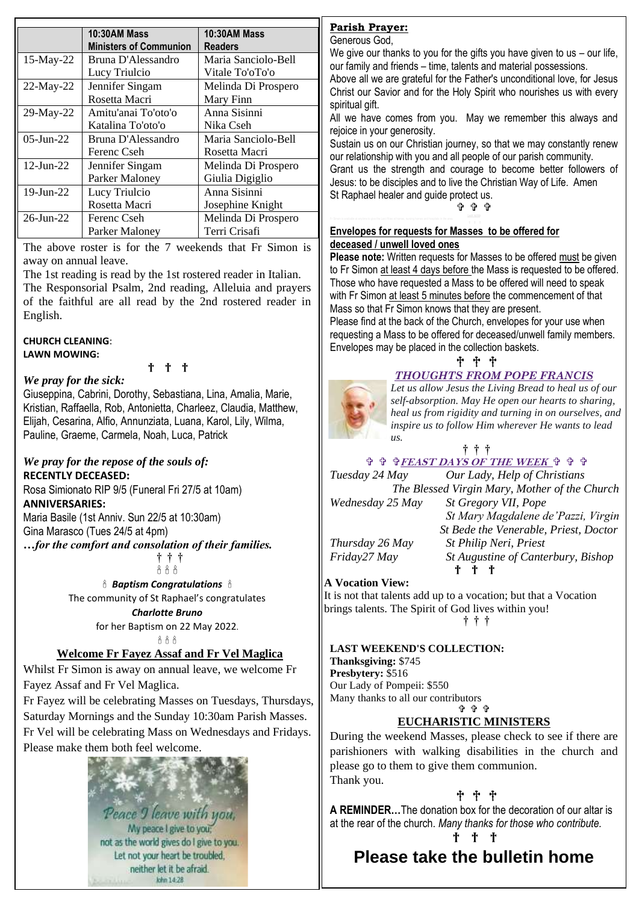|                 | <b>10:30AM Mass</b>           | <b>10:30AM Mass</b> |
|-----------------|-------------------------------|---------------------|
|                 | <b>Ministers of Communion</b> | <b>Readers</b>      |
| 15-May-22       | Bruna D'Alessandro            | Maria Sanciolo-Bell |
|                 | Lucy Triulcio                 | Vitale To'oTo'o     |
| $22$ -May-22    | Jennifer Singam               | Melinda Di Prospero |
|                 | Rosetta Macri                 | Mary Finn           |
| 29-May-22       | Amitu'anai To'oto'o           | Anna Sisinni        |
|                 | Katalina To'oto'o             | Nika Cseh           |
| $05$ -Jun-22    | Bruna D'Alessandro            | Maria Sanciolo-Bell |
|                 | Ferenc Cseh                   | Rosetta Macri       |
| $12$ -Jun-22    | Jennifer Singam               | Melinda Di Prospero |
|                 | <b>Parker Maloney</b>         | Giulia Digiglio     |
| $19$ -Jun-22    | Lucy Triulcio                 | Anna Sisinni        |
|                 | Rosetta Macri                 | Josephine Knight    |
| $26$ -Jun- $22$ | Ferenc Cseh                   | Melinda Di Prospero |
|                 | Parker Maloney                | Terri Crisafi       |

The above roster is for the 7 weekends that Fr Simon is away on annual leave.

The 1st reading is read by the 1st rostered reader in Italian. The Responsorial Psalm, 2nd reading, Alleluia and prayers of the faithful are all read by the 2nd rostered reader in English.

#### **CHURCH CLEANING**: **LAWN MOWING:**

† † †

#### *We pray for the sick:*

Giuseppina, Cabrini, Dorothy, Sebastiana, Lina, Amalia, Marie, Kristian, Raffaella, Rob, Antonietta, Charleez, Claudia, Matthew, Elijah, Cesarina, Alfio, Annunziata, Luana, Karol, Lily, Wilma, Pauline, Graeme, Carmela, Noah, Luca, Patrick

#### *We pray for the repose of the souls of:*  **RECENTLY DECEASED:**

Rosa Simionato RIP 9/5 (Funeral Fri 27/5 at 10am) **ANNIVERSARIES:**

Maria Basile (1st Anniv. Sun 22/5 at 10:30am)

Gina Marasco (Tues 24/5 at 4pm)

*…for the comfort and consolation of their families.*

† † †  $666$ 

 *Baptism Congratulations*  The community of St Raphael's congratulates

#### *Charlotte Bruno*

for her Baptism on 22 May 2022.  $888$ 

#### **Welcome Fr Fayez Assaf and Fr Vel Maglica**

Whilst Fr Simon is away on annual leave, we welcome Fr Fayez Assaf and Fr Vel Maglica.

Fr Fayez will be celebrating Masses on Tuesdays, Thursdays, Saturday Mornings and the Sunday 10:30am Parish Masses. Fr Vel will be celebrating Mass on Wednesdays and Fridays. Please make them both feel welcome.

> Peace I leave with you, My peace I give to you not as the world gives do I give to you. Let not your heart be troubled, neither let it be afraid. kdm 14-28

#### **Parish Prayer:**

Generous God,

We give our thanks to you for the gifts you have given to us – our life, our family and friends – time, talents and material possessions.

Above all we are grateful for the Father's unconditional love, for Jesus Christ our Savior and for the Holy Spirit who nourishes us with every spiritual gift.

All we have comes from you. May we remember this always and rejoice in your generosity.

Sustain us on our Christian journey, so that we may constantly renew our relationship with you and all people of our parish community. Grant us the strength and courage to become better followers of Jesus: to be disciples and to live the Christian Way of Life. Amen St Raphael healer and guide protect us.

#### ቁ ቁ ቁ

#### **Envelopes for requests for Masses to be offered for deceased / unwell loved ones**

**Please note:** Written requests for Masses to be offered must be given to Fr Simon at least 4 days before the Mass is requested to be offered. Those who have requested a Mass to be offered will need to speak with Fr Simon at least 5 minutes before the commencement of that Mass so that Fr Simon knows that they are present.

Please find at the back of the Church, envelopes for your use when requesting a Mass to be offered for deceased/unwell family members. Envelopes may be placed in the collection baskets.

† † †

#### *THOUGHTS FROM POPE FRANCIS*

*Let us allow Jesus the Living Bread to heal us of our self-absorption. May He open our hearts to sharing, heal us from rigidity and turning in on ourselves, and inspire us to follow Him wherever He wants to lead us.* 

#### † † †

 **FEAST DAYS OF THE WEEK** *Tuesday 24 May Our Lady, Help of Christians The Blessed Virgin Mary, Mother of the Church*

*Wednesday 25 May St Gregory VII, Pope*

*St Mary Magdalene de'Pazzi, Virgin St Bede the Venerable, Priest, Doctor Thursday 26 May St Philip Neri, Priest Friday27 May St Augustine of Canterbury, Bishop* † † †

#### **A Vocation View:**

It is not that talents add up to a vocation; but that a Vocation brings talents. The Spirit of God lives within you!

† † †

#### **LAST WEEKEND'S COLLECTION:**

**Thanksgiving:** \$745 **Presbytery:** \$516 Our Lady of Pompeii: \$550 Many thanks to all our contributors **ዕዕ** 

#### **EUCHARISTIC MINISTERS**

During the weekend Masses, please check to see if there are parishioners with walking disabilities in the church and please go to them to give them communion. Thank you.

† † †

**A REMINDER…**The donation box for the decoration of our altar is at the rear of the church. *Many thanks for those who contribute.*

† † †

### **Please take the bulletin home**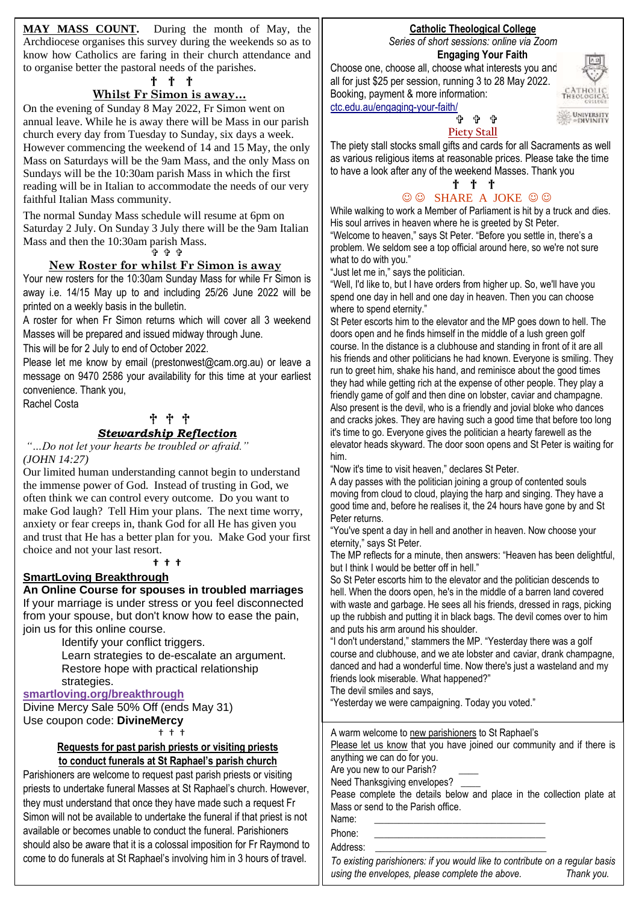**MAY MASS COUNT.** During the month of May, the Archdiocese organises this survey during the weekends so as to know how Catholics are faring in their church attendance and to organise better the pastoral needs of the parishes.

#### † † †

#### **Whilst Fr Simon is away…**

On the evening of Sunday 8 May 2022, Fr Simon went on annual leave. While he is away there will be Mass in our parish church every day from Tuesday to Sunday, six days a week. However commencing the weekend of 14 and 15 May, the only Mass on Saturdays will be the 9am Mass, and the only Mass on Sundays will be the 10:30am parish Mass in which the first reading will be in Italian to accommodate the needs of our very faithful Italian Mass community.

The normal Sunday Mass schedule will resume at 6pm on Saturday 2 July. On Sunday 3 July there will be the 9am Italian Mass and then the 10:30am parish Mass.

ቅቀቀ

#### **New Roster for whilst Fr Simon is away**

Your new rosters for the 10:30am Sunday Mass for while Fr Simon is away i.e. 14/15 May up to and including 25/26 June 2022 will be printed on a weekly basis in the bulletin.

A roster for when Fr Simon returns which will cover all 3 weekend Masses will be prepared and issued midway through June.

This will be for 2 July to end of October 2022.

Please let me know by email (prestonwest@cam.org.au) or leave a message on 9470 2586 your availability for this time at your earliest convenience. Thank you,

Rachel Costa

#### † † †

### *Stewardship Reflection*

*"…Do not let your hearts be troubled or afraid." (JOHN 14:27)*

Our limited human understanding cannot begin to understand the immense power of God. Instead of trusting in God, we often think we can control every outcome. Do you want to make God laugh? Tell Him your plans. The next time worry, anxiety or fear creeps in, thank God for all He has given you and trust that He has a better plan for you. Make God your first choice and not your last resort.

#### **† † †**

#### **SmartLoving Breakthrough**

**An Online Course for spouses in troubled marriages**

If your marriage is under stress or you feel disconnected from your spouse, but don't know how to ease the pain, join us for this online course.

> Identify your conflict triggers. Learn strategies to de-escalate an argument. • Restore hope with practical relationship strategies.

#### **[smartloving.org/breakthrough](https://aus01.safelinks.protection.outlook.com/?url=https%3A%2F%2Fpmrc.ontraport.com%2Fc%2Fs%2F2Q9%2FJ0Os%2F6%2Fvlq7%2F6m9%2F69gsJ5%2Fs2AkKJBwjQ%2FP%2FP%2FQX&data=05%7C01%7Cprestonwest%40cam.org.au%7C69519118326f4fbf3eca08da2d6164f8%7C48ee20c7c8ea423c8b28f19801e34193%7C0%7C0%7C637872193596322874%7CUnknown%7CTWFpbGZsb3d8eyJWIjoiMC4wLjAwMDAiLCJQIjoiV2luMzIiLCJBTiI6Ik1haWwiLCJXVCI6Mn0%3D%7C3000%7C%7C%7C&sdata=nK9uRkHeB%2FcbX0sjYSPYTrz48QQd9y1ZeE5dZbbqYTA%3D&reserved=0)**

Divine Mercy Sale 50% Off (ends May 31) Use coupon code: **DivineMercy**

† † †

#### **Requests for past parish priests or visiting priests to conduct funerals at St Raphael's parish church**

Parishioners are welcome to request past parish priests or visiting priests to undertake funeral Masses at St Raphael's church. However, they must understand that once they have made such a request Fr Simon will not be available to undertake the funeral if that priest is not available or becomes unable to conduct the funeral. Parishioners should also be aware that it is a colossal imposition for Fr Raymond to come to do funerals at St Raphael's involving him in 3 hours of travel.

#### **Catholic Theological College** *Series of short sessions: online via Zoom*

**Engaging Your Faith**

Choose one, choose all, choose what interests you and all for just \$25 per session, running 3 to 28 May 2022. Booking, payment & more information: [ctc.edu.au/engaging-your-faith/](https://ctc.edu.au/engaging-your-faith/)



#### 유 슈 **Piety Stall**

The piety stall stocks small gifts and cards for all Sacraments as well as various religious items at reasonable prices. Please take the time to have a look after any of the weekend Masses. Thank you

#### † † †  $\odot$   $\odot$  SHARE A JOKE  $\odot$   $\odot$

While walking to work a Member of Parliament is hit by a truck and dies. His soul arrives in heaven where he is greeted by St Peter.

"Welcome to heaven," says St Peter. "Before you settle in, there's a problem. We seldom see a top official around here, so we're not sure what to do with you."

"Just let me in," says the politician.

"Well, I'd like to, but I have orders from higher up. So, we'll have you spend one day in hell and one day in heaven. Then you can choose where to spend eternity."

St Peter escorts him to the elevator and the MP goes down to hell. The doors open and he finds himself in the middle of a lush green golf course. In the distance is a clubhouse and standing in front of it are all his friends and other politicians he had known. Everyone is smiling. They run to greet him, shake his hand, and reminisce about the good times they had while getting rich at the expense of other people. They play a friendly game of golf and then dine on lobster, caviar and champagne. Also present is the devil, who is a friendly and jovial bloke who dances and cracks jokes. They are having such a good time that before too long it's time to go. Everyone gives the politician a hearty farewell as the elevator heads skyward. The door soon opens and St Peter is waiting for him.

"Now it's time to visit heaven," declares St Peter.

A day passes with the politician joining a group of contented souls moving from cloud to cloud, playing the harp and singing. They have a good time and, before he realises it, the 24 hours have gone by and St Peter returns.

"You've spent a day in hell and another in heaven. Now choose your eternity," says St Peter.

The MP reflects for a minute, then answers: "Heaven has been delightful, but I think I would be better off in hell."

So St Peter escorts him to the elevator and the politician descends to hell. When the doors open, he's in the middle of a barren land covered with waste and garbage. He sees all his friends, dressed in rags, picking up the rubbish and putting it in black bags. The devil comes over to him and puts his arm around his shoulder.

"I don't understand," stammers the MP. "Yesterday there was a golf course and clubhouse, and we ate lobster and caviar, drank champagne, danced and had a wonderful time. Now there's just a wasteland and my friends look miserable. What happened?"

The devil smiles and says,

"Yesterday we were campaigning. Today you voted."

| A warm welcome to new parishioners to St Raphael's                    |  |  |
|-----------------------------------------------------------------------|--|--|
| Please let us know that you have joined our community and if there is |  |  |
| anything we can do for you.                                           |  |  |

Are you new to our Parish?

Need Thanksgiving envelopes?

Pease complete the details below and place in the collection plate at Mass or send to the Parish office.

 $\overline{\phantom{a}}$ 

Name:

**C**<br>**Children's activity pages**<br>**C** Phone:

Address:

Please find in the foyer of the Church an *To existing parishioners: if you would like to contribute on a regular basis*  activity parismoners. In you would like to a<br>cing the envelopes integer complete the abo using the envelopes, please complete the above. Thank you.